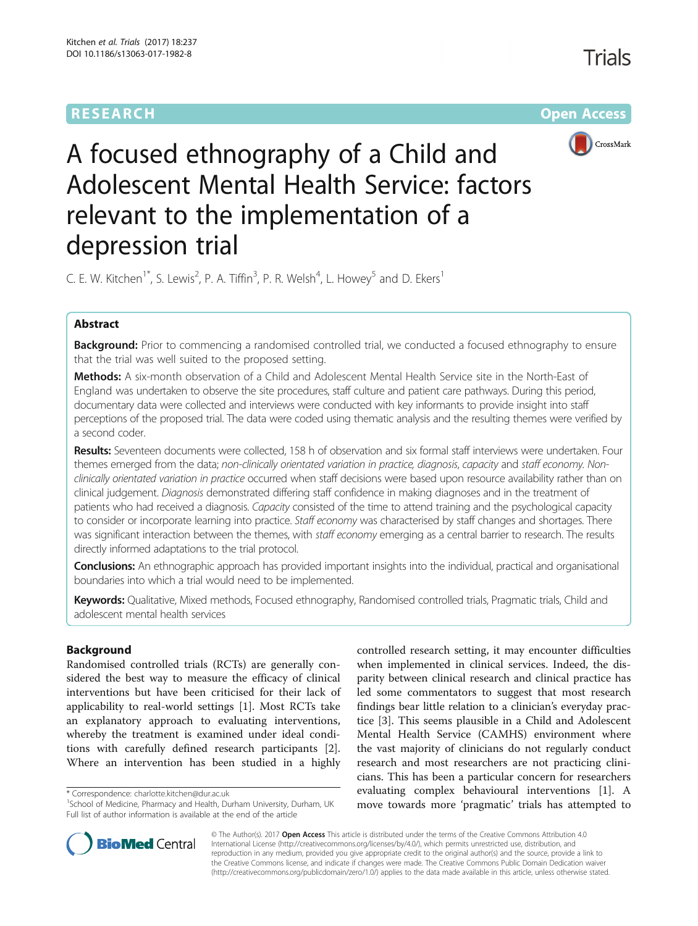# **RESEARCH CHE Open Access**



# A focused ethnography of a Child and Adolescent Mental Health Service: factors relevant to the implementation of a depression trial

C. E. W. Kitchen<sup>1\*</sup>, S. Lewis<sup>2</sup>, P. A. Tiffin<sup>3</sup>, P. R. Welsh<sup>4</sup>, L. Howey<sup>5</sup> and D. Ekers<sup>1</sup>

# Abstract

**Background:** Prior to commencing a randomised controlled trial, we conducted a focused ethnography to ensure that the trial was well suited to the proposed setting.

Methods: A six-month observation of a Child and Adolescent Mental Health Service site in the North-East of England was undertaken to observe the site procedures, staff culture and patient care pathways. During this period, documentary data were collected and interviews were conducted with key informants to provide insight into staff perceptions of the proposed trial. The data were coded using thematic analysis and the resulting themes were verified by a second coder.

Results: Seventeen documents were collected, 158 h of observation and six formal staff interviews were undertaken. Four themes emerged from the data; non-clinically orientated variation in practice, diagnosis, capacity and staff economy. Nonclinically orientated variation in practice occurred when staff decisions were based upon resource availability rather than on clinical judgement. Diagnosis demonstrated differing staff confidence in making diagnoses and in the treatment of patients who had received a diagnosis. Capacity consisted of the time to attend training and the psychological capacity to consider or incorporate learning into practice. Staff economy was characterised by staff changes and shortages. There was significant interaction between the themes, with staff economy emerging as a central barrier to research. The results directly informed adaptations to the trial protocol.

Conclusions: An ethnographic approach has provided important insights into the individual, practical and organisational boundaries into which a trial would need to be implemented.

Keywords: Qualitative, Mixed methods, Focused ethnography, Randomised controlled trials, Pragmatic trials, Child and adolescent mental health services

# Background

Randomised controlled trials (RCTs) are generally considered the best way to measure the efficacy of clinical interventions but have been criticised for their lack of applicability to real-world settings [\[1](#page-11-0)]. Most RCTs take an explanatory approach to evaluating interventions, whereby the treatment is examined under ideal conditions with carefully defined research participants [\[2](#page-11-0)]. Where an intervention has been studied in a highly

\* Correspondence: [charlotte.kitchen@dur.ac.uk](mailto:charlotte.kitchen@dur.ac.uk) <sup>1</sup>

controlled research setting, it may encounter difficulties when implemented in clinical services. Indeed, the disparity between clinical research and clinical practice has led some commentators to suggest that most research findings bear little relation to a clinician's everyday practice [[3\]](#page-11-0). This seems plausible in a Child and Adolescent Mental Health Service (CAMHS) environment where the vast majority of clinicians do not regularly conduct research and most researchers are not practicing clinicians. This has been a particular concern for researchers evaluating complex behavioural interventions [\[1](#page-11-0)]. A move towards more 'pragmatic' trials has attempted to



© The Author(s). 2017 **Open Access** This article is distributed under the terms of the Creative Commons Attribution 4.0 International License [\(http://creativecommons.org/licenses/by/4.0/](http://creativecommons.org/licenses/by/4.0/)), which permits unrestricted use, distribution, and reproduction in any medium, provided you give appropriate credit to the original author(s) and the source, provide a link to the Creative Commons license, and indicate if changes were made. The Creative Commons Public Domain Dedication waiver [\(http://creativecommons.org/publicdomain/zero/1.0/](http://creativecommons.org/publicdomain/zero/1.0/)) applies to the data made available in this article, unless otherwise stated.

<sup>&</sup>lt;sup>1</sup>School of Medicine, Pharmacy and Health, Durham University, Durham, UK Full list of author information is available at the end of the article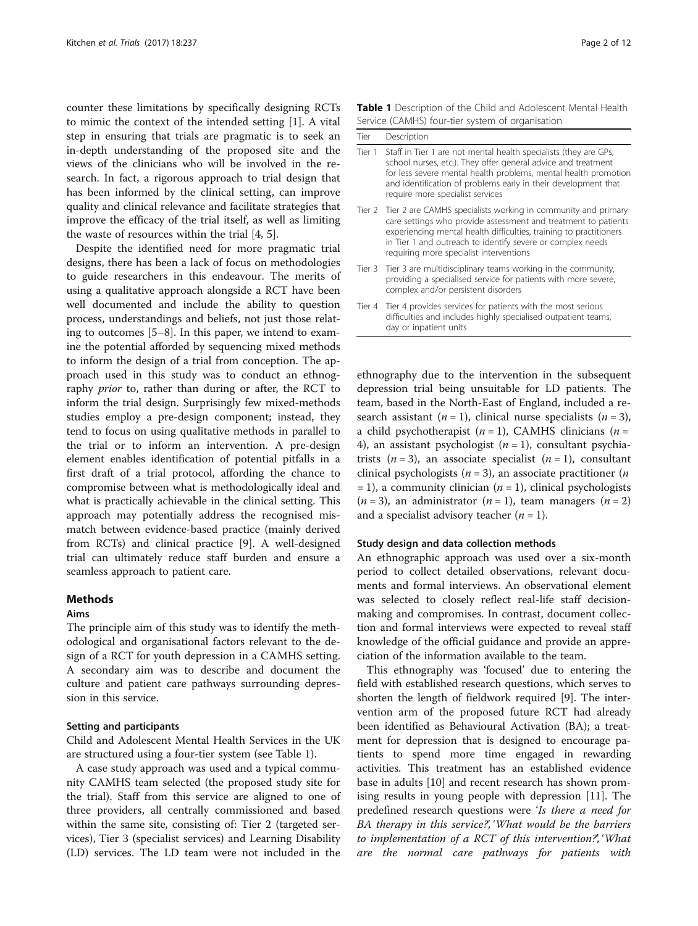counter these limitations by specifically designing RCTs to mimic the context of the intended setting [[1](#page-11-0)]. A vital step in ensuring that trials are pragmatic is to seek an in-depth understanding of the proposed site and the views of the clinicians who will be involved in the research. In fact, a rigorous approach to trial design that has been informed by the clinical setting, can improve quality and clinical relevance and facilitate strategies that improve the efficacy of the trial itself, as well as limiting the waste of resources within the trial [[4, 5\]](#page-11-0).

Despite the identified need for more pragmatic trial designs, there has been a lack of focus on methodologies to guide researchers in this endeavour. The merits of using a qualitative approach alongside a RCT have been well documented and include the ability to question process, understandings and beliefs, not just those relating to outcomes [\[5](#page-11-0)–[8](#page-11-0)]. In this paper, we intend to examine the potential afforded by sequencing mixed methods to inform the design of a trial from conception. The approach used in this study was to conduct an ethnography *prior* to, rather than during or after, the RCT to inform the trial design. Surprisingly few mixed-methods studies employ a pre-design component; instead, they tend to focus on using qualitative methods in parallel to the trial or to inform an intervention. A pre-design element enables identification of potential pitfalls in a first draft of a trial protocol, affording the chance to compromise between what is methodologically ideal and what is practically achievable in the clinical setting. This approach may potentially address the recognised mismatch between evidence-based practice (mainly derived from RCTs) and clinical practice [\[9](#page-11-0)]. A well-designed trial can ultimately reduce staff burden and ensure a seamless approach to patient care.

# Methods

# Aims

The principle aim of this study was to identify the methodological and organisational factors relevant to the design of a RCT for youth depression in a CAMHS setting. A secondary aim was to describe and document the culture and patient care pathways surrounding depression in this service.

# Setting and participants

Child and Adolescent Mental Health Services in the UK are structured using a four-tier system (see Table 1).

A case study approach was used and a typical community CAMHS team selected (the proposed study site for the trial). Staff from this service are aligned to one of three providers, all centrally commissioned and based within the same site, consisting of: Tier 2 (targeted services), Tier 3 (specialist services) and Learning Disability (LD) services. The LD team were not included in the

| <b>Table 1</b> Description of the Child and Adolescent Mental Health |  |
|----------------------------------------------------------------------|--|
| Service (CAMHS) four-tier system of organisation                     |  |

| Tier   | Description                                                                                                                                                                                                                                                                                                           |
|--------|-----------------------------------------------------------------------------------------------------------------------------------------------------------------------------------------------------------------------------------------------------------------------------------------------------------------------|
| Tier 1 | Staff in Tier 1 are not mental health specialists (they are GPs,<br>school nurses, etc.). They offer general advice and treatment<br>for less severe mental health problems, mental health promotion<br>and identification of problems early in their development that<br>require more specialist services            |
|        | Tier 2 Tier 2 are CAMHS specialists working in community and primary<br>care settings who provide assessment and treatment to patients<br>experiencing mental health difficulties, training to practitioners<br>in Tier 1 and outreach to identify severe or complex needs<br>requiring more specialist interventions |
|        | Tier 3 Tier 3 are multidisciplinary teams working in the community,<br>providing a specialised service for patients with more severe,<br>complex and/or persistent disorders                                                                                                                                          |
|        | Tier 4 Tier 4 provides services for patients with the most serious<br>alifficulties and includes bighly coociolised outpotiont topms                                                                                                                                                                                  |

difficulties and includes highly specialised outpatient teams, day or inpatient units

ethnography due to the intervention in the subsequent depression trial being unsuitable for LD patients. The team, based in the North-East of England, included a research assistant  $(n = 1)$ , clinical nurse specialists  $(n = 3)$ , a child psychotherapist  $(n = 1)$ , CAMHS clinicians  $(n = 1)$ 4), an assistant psychologist  $(n = 1)$ , consultant psychiatrists  $(n = 3)$ , an associate specialist  $(n = 1)$ , consultant clinical psychologists ( $n = 3$ ), an associate practitioner ( $n$  $= 1$ ), a community clinician (*n* = 1), clinical psychologists  $(n = 3)$ , an administrator  $(n = 1)$ , team managers  $(n = 2)$ and a specialist advisory teacher  $(n = 1)$ .

# Study design and data collection methods

An ethnographic approach was used over a six-month period to collect detailed observations, relevant documents and formal interviews. An observational element was selected to closely reflect real-life staff decisionmaking and compromises. In contrast, document collection and formal interviews were expected to reveal staff knowledge of the official guidance and provide an appreciation of the information available to the team.

This ethnography was 'focused' due to entering the field with established research questions, which serves to shorten the length of fieldwork required [[9\]](#page-11-0). The intervention arm of the proposed future RCT had already been identified as Behavioural Activation (BA); a treatment for depression that is designed to encourage patients to spend more time engaged in rewarding activities. This treatment has an established evidence base in adults [\[10\]](#page-11-0) and recent research has shown promising results in young people with depression [\[11](#page-11-0)]. The predefined research questions were 'Is there a need for BA therapy in this service?, 'What would be the barriers to implementation of a RCT of this intervention?', 'What are the normal care pathways for patients with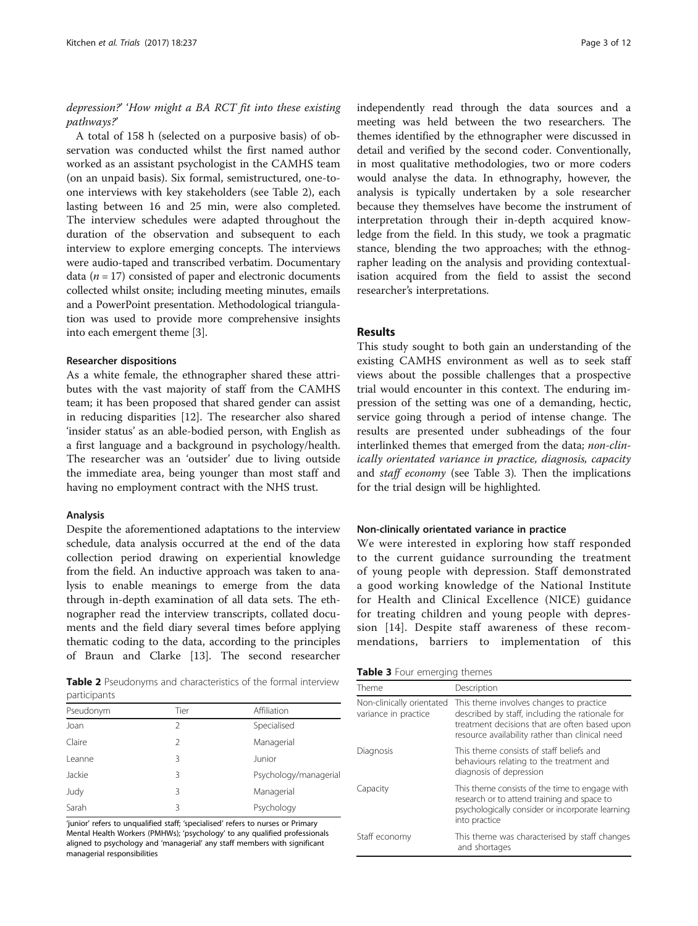# depression?' 'How might a BA RCT fit into these existing pathways?'

A total of 158 h (selected on a purposive basis) of observation was conducted whilst the first named author worked as an assistant psychologist in the CAMHS team (on an unpaid basis). Six formal, semistructured, one-toone interviews with key stakeholders (see Table 2), each lasting between 16 and 25 min, were also completed. The interview schedules were adapted throughout the duration of the observation and subsequent to each interview to explore emerging concepts. The interviews were audio-taped and transcribed verbatim. Documentary data ( $n = 17$ ) consisted of paper and electronic documents collected whilst onsite; including meeting minutes, emails and a PowerPoint presentation. Methodological triangulation was used to provide more comprehensive insights into each emergent theme [\[3\]](#page-11-0).

# Researcher dispositions

As a white female, the ethnographer shared these attributes with the vast majority of staff from the CAMHS team; it has been proposed that shared gender can assist in reducing disparities [[12](#page-11-0)]. The researcher also shared 'insider status' as an able-bodied person, with English as a first language and a background in psychology/health. The researcher was an 'outsider' due to living outside the immediate area, being younger than most staff and having no employment contract with the NHS trust.

# Analysis

Despite the aforementioned adaptations to the interview schedule, data analysis occurred at the end of the data collection period drawing on experiential knowledge from the field. An inductive approach was taken to analysis to enable meanings to emerge from the data through in-depth examination of all data sets. The ethnographer read the interview transcripts, collated documents and the field diary several times before applying thematic coding to the data, according to the principles of Braun and Clarke [\[13](#page-11-0)]. The second researcher

Table 2 Pseudonyms and characteristics of the formal interview participants

| Pseudonym | Tier          | Affiliation           |
|-----------|---------------|-----------------------|
| Joan      | $\mathcal{L}$ | Specialised           |
| Claire    | $\mathcal{L}$ | Managerial            |
| Leanne    | 3             | Junior                |
| Jackie    | 3             | Psychology/managerial |
| Judy      | 3             | Managerial            |
| Sarah     | 3             | Psychology            |

'junior' refers to unqualified staff; 'specialised' refers to nurses or Primary Mental Health Workers (PMHWs); 'psychology' to any qualified professionals aligned to psychology and 'managerial' any staff members with significant managerial responsibilities

independently read through the data sources and a meeting was held between the two researchers. The themes identified by the ethnographer were discussed in detail and verified by the second coder. Conventionally, in most qualitative methodologies, two or more coders would analyse the data. In ethnography, however, the analysis is typically undertaken by a sole researcher because they themselves have become the instrument of interpretation through their in-depth acquired knowledge from the field. In this study, we took a pragmatic stance, blending the two approaches; with the ethnographer leading on the analysis and providing contextualisation acquired from the field to assist the second researcher's interpretations.

# Results

This study sought to both gain an understanding of the existing CAMHS environment as well as to seek staff views about the possible challenges that a prospective trial would encounter in this context. The enduring impression of the setting was one of a demanding, hectic, service going through a period of intense change. The results are presented under subheadings of the four interlinked themes that emerged from the data; non-clinically orientated variance in practice, diagnosis, capacity and staff economy (see Table 3). Then the implications for the trial design will be highlighted.

# Non-clinically orientated variance in practice

We were interested in exploring how staff responded to the current guidance surrounding the treatment of young people with depression. Staff demonstrated a good working knowledge of the National Institute for Health and Clinical Excellence (NICE) guidance for treating children and young people with depression [[14](#page-11-0)]. Despite staff awareness of these recommendations, barriers to implementation of this

|  |  | Table 3 Four emerging themes |  |
|--|--|------------------------------|--|
|--|--|------------------------------|--|

| Theme                                             | Description                                                                                                                                                                                    |
|---------------------------------------------------|------------------------------------------------------------------------------------------------------------------------------------------------------------------------------------------------|
| Non-clinically orientated<br>variance in practice | This theme involves changes to practice<br>described by staff, including the rationale for<br>treatment decisions that are often based upon<br>resource availability rather than clinical need |
| Diagnosis                                         | This theme consists of staff beliefs and<br>behaviours relating to the treatment and<br>diagnosis of depression                                                                                |
| Capacity                                          | This theme consists of the time to engage with<br>research or to attend training and space to<br>psychologically consider or incorporate learning<br>into practice                             |
| Staff economy                                     | This theme was characterised by staff changes<br>and shortages                                                                                                                                 |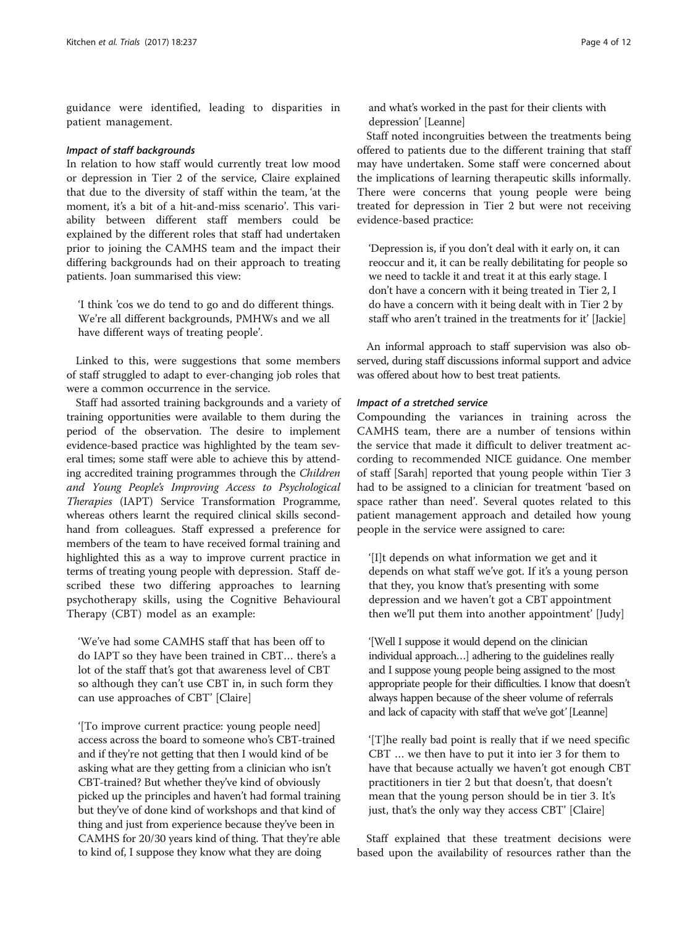guidance were identified, leading to disparities in patient management.

# Impact of staff backgrounds

In relation to how staff would currently treat low mood or depression in Tier 2 of the service, Claire explained that due to the diversity of staff within the team, 'at the moment, it's a bit of a hit-and-miss scenario'. This variability between different staff members could be explained by the different roles that staff had undertaken prior to joining the CAMHS team and the impact their differing backgrounds had on their approach to treating patients. Joan summarised this view:

'I think 'cos we do tend to go and do different things. We're all different backgrounds, PMHWs and we all have different ways of treating people'.

Linked to this, were suggestions that some members of staff struggled to adapt to ever-changing job roles that were a common occurrence in the service.

Staff had assorted training backgrounds and a variety of training opportunities were available to them during the period of the observation. The desire to implement evidence-based practice was highlighted by the team several times; some staff were able to achieve this by attending accredited training programmes through the Children and Young People's Improving Access to Psychological Therapies (IAPT) Service Transformation Programme, whereas others learnt the required clinical skills secondhand from colleagues. Staff expressed a preference for members of the team to have received formal training and highlighted this as a way to improve current practice in terms of treating young people with depression. Staff described these two differing approaches to learning psychotherapy skills, using the Cognitive Behavioural Therapy (CBT) model as an example:

'We've had some CAMHS staff that has been off to do IAPT so they have been trained in CBT… there's a lot of the staff that's got that awareness level of CBT so although they can't use CBT in, in such form they can use approaches of CBT' [Claire]

'[To improve current practice: young people need] access across the board to someone who's CBT-trained and if they're not getting that then I would kind of be asking what are they getting from a clinician who isn't CBT-trained? But whether they've kind of obviously picked up the principles and haven't had formal training but they've of done kind of workshops and that kind of thing and just from experience because they've been in CAMHS for 20/30 years kind of thing. That they're able to kind of, I suppose they know what they are doing

and what's worked in the past for their clients with depression' [Leanne]

Staff noted incongruities between the treatments being offered to patients due to the different training that staff may have undertaken. Some staff were concerned about the implications of learning therapeutic skills informally. There were concerns that young people were being treated for depression in Tier 2 but were not receiving evidence-based practice:

'Depression is, if you don't deal with it early on, it can reoccur and it, it can be really debilitating for people so we need to tackle it and treat it at this early stage. I don't have a concern with it being treated in Tier 2, I do have a concern with it being dealt with in Tier 2 by staff who aren't trained in the treatments for it' [Jackie]

An informal approach to staff supervision was also observed, during staff discussions informal support and advice was offered about how to best treat patients.

# Impact of a stretched service

Compounding the variances in training across the CAMHS team, there are a number of tensions within the service that made it difficult to deliver treatment according to recommended NICE guidance. One member of staff [Sarah] reported that young people within Tier 3 had to be assigned to a clinician for treatment 'based on space rather than need'. Several quotes related to this patient management approach and detailed how young people in the service were assigned to care:

'[I]t depends on what information we get and it depends on what staff we've got. If it's a young person that they, you know that's presenting with some depression and we haven't got a CBT appointment then we'll put them into another appointment' [Judy]

'[Well I suppose it would depend on the clinician individual approach…] adhering to the guidelines really and I suppose young people being assigned to the most appropriate people for their difficulties. I know that doesn't always happen because of the sheer volume of referrals and lack of capacity with staff that we've got' [Leanne]

'[T]he really bad point is really that if we need specific CBT … we then have to put it into ier 3 for them to have that because actually we haven't got enough CBT practitioners in tier 2 but that doesn't, that doesn't mean that the young person should be in tier 3. It's just, that's the only way they access CBT' [Claire]

Staff explained that these treatment decisions were based upon the availability of resources rather than the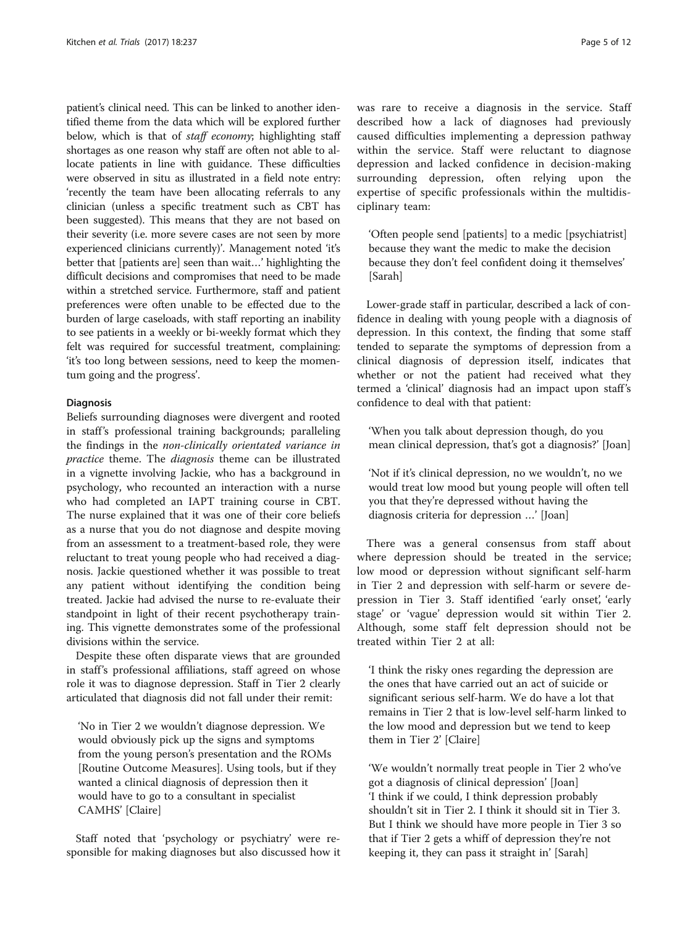patient's clinical need. This can be linked to another identified theme from the data which will be explored further below, which is that of *staff economy*; highlighting staff shortages as one reason why staff are often not able to allocate patients in line with guidance. These difficulties were observed in situ as illustrated in a field note entry: 'recently the team have been allocating referrals to any clinician (unless a specific treatment such as CBT has been suggested). This means that they are not based on their severity (i.e. more severe cases are not seen by more experienced clinicians currently)'. Management noted 'it's better that [patients are] seen than wait…' highlighting the difficult decisions and compromises that need to be made within a stretched service. Furthermore, staff and patient preferences were often unable to be effected due to the burden of large caseloads, with staff reporting an inability to see patients in a weekly or bi-weekly format which they felt was required for successful treatment, complaining: 'it's too long between sessions, need to keep the momentum going and the progress'.

# **Diagnosis**

Beliefs surrounding diagnoses were divergent and rooted in staff's professional training backgrounds; paralleling the findings in the non-clinically orientated variance in practice theme. The diagnosis theme can be illustrated in a vignette involving Jackie, who has a background in psychology, who recounted an interaction with a nurse who had completed an IAPT training course in CBT. The nurse explained that it was one of their core beliefs as a nurse that you do not diagnose and despite moving from an assessment to a treatment-based role, they were reluctant to treat young people who had received a diagnosis. Jackie questioned whether it was possible to treat any patient without identifying the condition being treated. Jackie had advised the nurse to re-evaluate their standpoint in light of their recent psychotherapy training. This vignette demonstrates some of the professional divisions within the service.

Despite these often disparate views that are grounded in staff's professional affiliations, staff agreed on whose role it was to diagnose depression. Staff in Tier 2 clearly articulated that diagnosis did not fall under their remit:

'No in Tier 2 we wouldn't diagnose depression. We would obviously pick up the signs and symptoms from the young person's presentation and the ROMs [Routine Outcome Measures]. Using tools, but if they wanted a clinical diagnosis of depression then it would have to go to a consultant in specialist CAMHS' [Claire]

Staff noted that 'psychology or psychiatry' were responsible for making diagnoses but also discussed how it was rare to receive a diagnosis in the service. Staff described how a lack of diagnoses had previously caused difficulties implementing a depression pathway within the service. Staff were reluctant to diagnose depression and lacked confidence in decision-making surrounding depression, often relying upon the expertise of specific professionals within the multidisciplinary team:

'Often people send [patients] to a medic [psychiatrist] because they want the medic to make the decision because they don't feel confident doing it themselves' [Sarah]

Lower-grade staff in particular, described a lack of confidence in dealing with young people with a diagnosis of depression. In this context, the finding that some staff tended to separate the symptoms of depression from a clinical diagnosis of depression itself, indicates that whether or not the patient had received what they termed a 'clinical' diagnosis had an impact upon staff's confidence to deal with that patient:

'When you talk about depression though, do you mean clinical depression, that's got a diagnosis?' [Joan]

'Not if it's clinical depression, no we wouldn't, no we would treat low mood but young people will often tell you that they're depressed without having the diagnosis criteria for depression …' [Joan]

There was a general consensus from staff about where depression should be treated in the service; low mood or depression without significant self-harm in Tier 2 and depression with self-harm or severe depression in Tier 3. Staff identified 'early onset', 'early stage' or 'vague' depression would sit within Tier 2. Although, some staff felt depression should not be treated within Tier 2 at all:

'I think the risky ones regarding the depression are the ones that have carried out an act of suicide or significant serious self-harm. We do have a lot that remains in Tier 2 that is low-level self-harm linked to the low mood and depression but we tend to keep them in Tier 2' [Claire]

'We wouldn't normally treat people in Tier 2 who've got a diagnosis of clinical depression' [Joan] 'I think if we could, I think depression probably shouldn't sit in Tier 2. I think it should sit in Tier 3. But I think we should have more people in Tier 3 so that if Tier 2 gets a whiff of depression they're not keeping it, they can pass it straight in' [Sarah]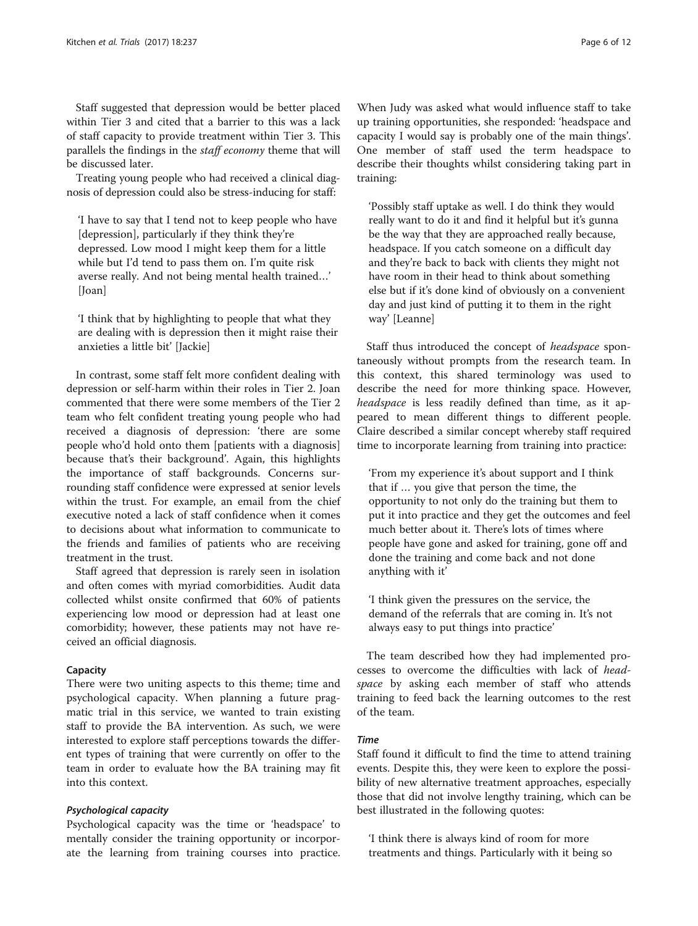Staff suggested that depression would be better placed within Tier 3 and cited that a barrier to this was a lack of staff capacity to provide treatment within Tier 3. This parallels the findings in the staff economy theme that will be discussed later.

Treating young people who had received a clinical diagnosis of depression could also be stress-inducing for staff:

'I have to say that I tend not to keep people who have [depression], particularly if they think they're depressed. Low mood I might keep them for a little while but I'd tend to pass them on. I'm quite risk averse really. And not being mental health trained…' [Joan]

'I think that by highlighting to people that what they are dealing with is depression then it might raise their anxieties a little bit' [Jackie]

In contrast, some staff felt more confident dealing with depression or self-harm within their roles in Tier 2. Joan commented that there were some members of the Tier 2 team who felt confident treating young people who had received a diagnosis of depression: 'there are some people who'd hold onto them [patients with a diagnosis] because that's their background'. Again, this highlights the importance of staff backgrounds. Concerns surrounding staff confidence were expressed at senior levels within the trust. For example, an email from the chief executive noted a lack of staff confidence when it comes to decisions about what information to communicate to the friends and families of patients who are receiving treatment in the trust.

Staff agreed that depression is rarely seen in isolation and often comes with myriad comorbidities. Audit data collected whilst onsite confirmed that 60% of patients experiencing low mood or depression had at least one comorbidity; however, these patients may not have received an official diagnosis.

# Capacity

There were two uniting aspects to this theme; time and psychological capacity. When planning a future pragmatic trial in this service, we wanted to train existing staff to provide the BA intervention. As such, we were interested to explore staff perceptions towards the different types of training that were currently on offer to the team in order to evaluate how the BA training may fit into this context.

# Psychological capacity

Psychological capacity was the time or 'headspace' to mentally consider the training opportunity or incorporate the learning from training courses into practice. When Judy was asked what would influence staff to take up training opportunities, she responded: 'headspace and capacity I would say is probably one of the main things'. One member of staff used the term headspace to describe their thoughts whilst considering taking part in training:

'Possibly staff uptake as well. I do think they would really want to do it and find it helpful but it's gunna be the way that they are approached really because, headspace. If you catch someone on a difficult day and they're back to back with clients they might not have room in their head to think about something else but if it's done kind of obviously on a convenient day and just kind of putting it to them in the right way' [Leanne]

Staff thus introduced the concept of headspace spontaneously without prompts from the research team. In this context, this shared terminology was used to describe the need for more thinking space. However, headspace is less readily defined than time, as it appeared to mean different things to different people. Claire described a similar concept whereby staff required time to incorporate learning from training into practice:

'From my experience it's about support and I think that if … you give that person the time, the opportunity to not only do the training but them to put it into practice and they get the outcomes and feel much better about it. There's lots of times where people have gone and asked for training, gone off and done the training and come back and not done anything with it'

'I think given the pressures on the service, the demand of the referrals that are coming in. It's not always easy to put things into practice'

The team described how they had implemented processes to overcome the difficulties with lack of headspace by asking each member of staff who attends training to feed back the learning outcomes to the rest of the team.

# Time

Staff found it difficult to find the time to attend training events. Despite this, they were keen to explore the possibility of new alternative treatment approaches, especially those that did not involve lengthy training, which can be best illustrated in the following quotes:

'I think there is always kind of room for more treatments and things. Particularly with it being so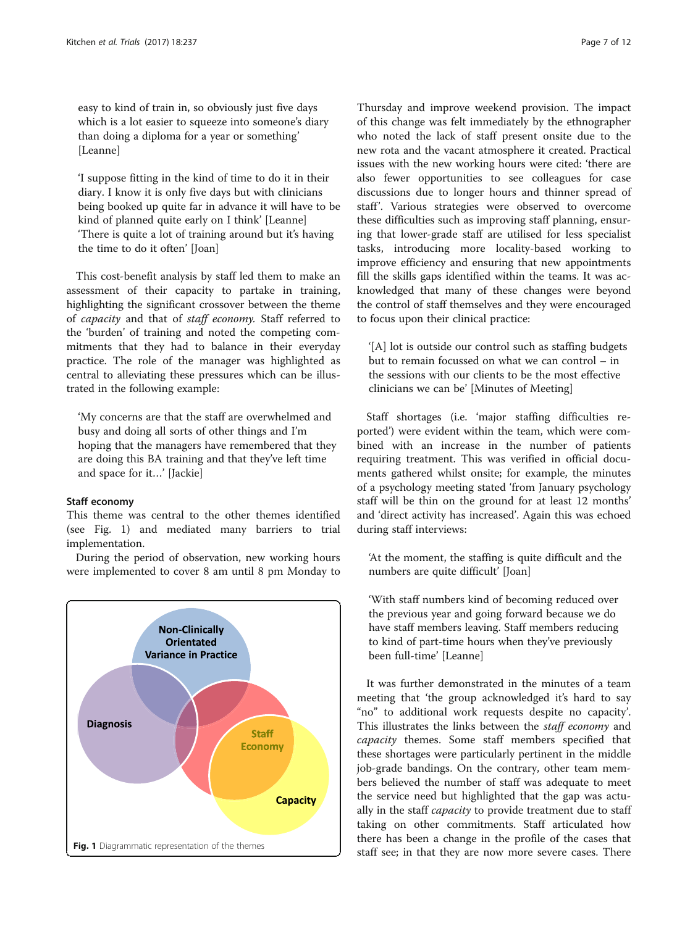easy to kind of train in, so obviously just five days which is a lot easier to squeeze into someone's diary than doing a diploma for a year or something' [Leanne]

'I suppose fitting in the kind of time to do it in their diary. I know it is only five days but with clinicians being booked up quite far in advance it will have to be kind of planned quite early on I think' [Leanne] 'There is quite a lot of training around but it's having the time to do it often' [Joan]

This cost-benefit analysis by staff led them to make an assessment of their capacity to partake in training, highlighting the significant crossover between the theme of capacity and that of staff economy. Staff referred to the 'burden' of training and noted the competing commitments that they had to balance in their everyday practice. The role of the manager was highlighted as central to alleviating these pressures which can be illustrated in the following example:

'My concerns are that the staff are overwhelmed and busy and doing all sorts of other things and I'm hoping that the managers have remembered that they are doing this BA training and that they've left time and space for it…' [Jackie]

# Staff economy

This theme was central to the other themes identified (see Fig. 1) and mediated many barriers to trial implementation.

During the period of observation, new working hours were implemented to cover 8 am until 8 pm Monday to



Thursday and improve weekend provision. The impact of this change was felt immediately by the ethnographer who noted the lack of staff present onsite due to the new rota and the vacant atmosphere it created. Practical issues with the new working hours were cited: 'there are also fewer opportunities to see colleagues for case discussions due to longer hours and thinner spread of staff'. Various strategies were observed to overcome these difficulties such as improving staff planning, ensuring that lower-grade staff are utilised for less specialist tasks, introducing more locality-based working to improve efficiency and ensuring that new appointments fill the skills gaps identified within the teams. It was acknowledged that many of these changes were beyond the control of staff themselves and they were encouraged to focus upon their clinical practice:

'[A] lot is outside our control such as staffing budgets but to remain focussed on what we can control – in the sessions with our clients to be the most effective clinicians we can be' [Minutes of Meeting]

Staff shortages (i.e. 'major staffing difficulties reported') were evident within the team, which were combined with an increase in the number of patients requiring treatment. This was verified in official documents gathered whilst onsite; for example, the minutes of a psychology meeting stated 'from January psychology staff will be thin on the ground for at least 12 months' and 'direct activity has increased'. Again this was echoed during staff interviews:

'At the moment, the staffing is quite difficult and the numbers are quite difficult' [Joan]

'With staff numbers kind of becoming reduced over the previous year and going forward because we do have staff members leaving. Staff members reducing to kind of part-time hours when they've previously been full-time' [Leanne]

It was further demonstrated in the minutes of a team meeting that 'the group acknowledged it's hard to say "no" to additional work requests despite no capacity'. This illustrates the links between the *staff economy* and capacity themes. Some staff members specified that these shortages were particularly pertinent in the middle job-grade bandings. On the contrary, other team members believed the number of staff was adequate to meet the service need but highlighted that the gap was actually in the staff capacity to provide treatment due to staff taking on other commitments. Staff articulated how there has been a change in the profile of the cases that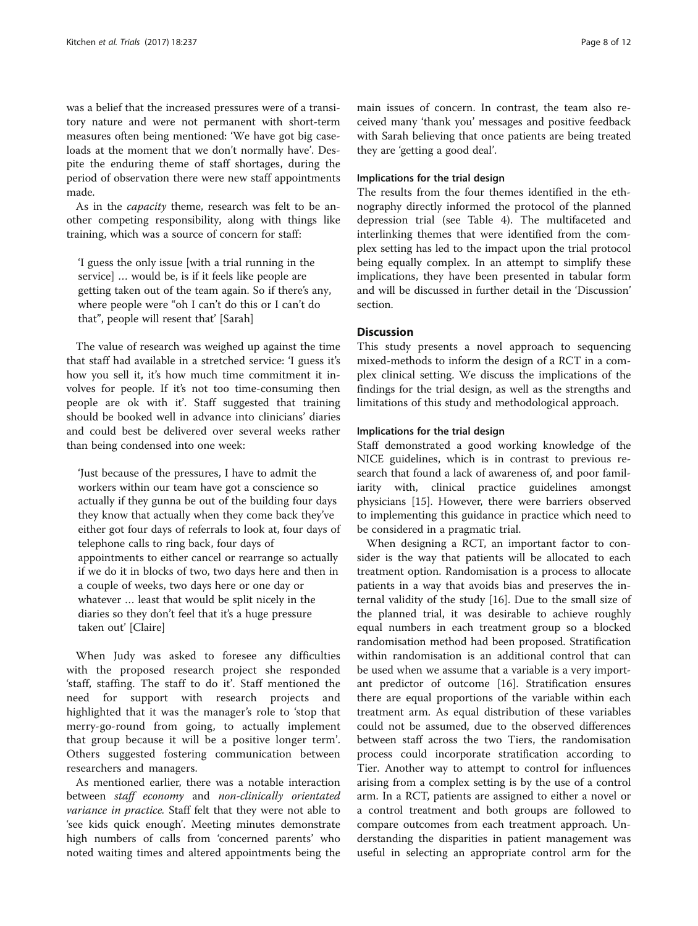was a belief that the increased pressures were of a transitory nature and were not permanent with short-term measures often being mentioned: 'We have got big caseloads at the moment that we don't normally have'. Despite the enduring theme of staff shortages, during the period of observation there were new staff appointments made.

As in the *capacity* theme, research was felt to be another competing responsibility, along with things like training, which was a source of concern for staff:

'I guess the only issue [with a trial running in the service] … would be, is if it feels like people are getting taken out of the team again. So if there's any, where people were "oh I can't do this or I can't do that", people will resent that' [Sarah]

The value of research was weighed up against the time that staff had available in a stretched service: 'I guess it's how you sell it, it's how much time commitment it involves for people. If it's not too time-consuming then people are ok with it'. Staff suggested that training should be booked well in advance into clinicians' diaries and could best be delivered over several weeks rather than being condensed into one week:

'Just because of the pressures, I have to admit the workers within our team have got a conscience so actually if they gunna be out of the building four days they know that actually when they come back they've either got four days of referrals to look at, four days of telephone calls to ring back, four days of appointments to either cancel or rearrange so actually if we do it in blocks of two, two days here and then in a couple of weeks, two days here or one day or whatever … least that would be split nicely in the diaries so they don't feel that it's a huge pressure taken out' [Claire]

When Judy was asked to foresee any difficulties with the proposed research project she responded 'staff, staffing. The staff to do it'. Staff mentioned the need for support with research projects and highlighted that it was the manager's role to 'stop that merry-go-round from going, to actually implement that group because it will be a positive longer term'. Others suggested fostering communication between researchers and managers.

As mentioned earlier, there was a notable interaction between staff economy and non-clinically orientated variance in practice. Staff felt that they were not able to 'see kids quick enough'. Meeting minutes demonstrate high numbers of calls from 'concerned parents' who noted waiting times and altered appointments being the

main issues of concern. In contrast, the team also received many 'thank you' messages and positive feedback with Sarah believing that once patients are being treated they are 'getting a good deal'.

# Implications for the trial design

The results from the four themes identified in the ethnography directly informed the protocol of the planned depression trial (see Table [4](#page-8-0)). The multifaceted and interlinking themes that were identified from the complex setting has led to the impact upon the trial protocol being equally complex. In an attempt to simplify these implications, they have been presented in tabular form and will be discussed in further detail in the 'Discussion' section.

# **Discussion**

This study presents a novel approach to sequencing mixed-methods to inform the design of a RCT in a complex clinical setting. We discuss the implications of the findings for the trial design, as well as the strengths and limitations of this study and methodological approach.

# Implications for the trial design

Staff demonstrated a good working knowledge of the NICE guidelines, which is in contrast to previous research that found a lack of awareness of, and poor familiarity with, clinical practice guidelines amongst physicians [\[15](#page-11-0)]. However, there were barriers observed to implementing this guidance in practice which need to be considered in a pragmatic trial.

When designing a RCT, an important factor to consider is the way that patients will be allocated to each treatment option. Randomisation is a process to allocate patients in a way that avoids bias and preserves the internal validity of the study [[16](#page-11-0)]. Due to the small size of the planned trial, it was desirable to achieve roughly equal numbers in each treatment group so a blocked randomisation method had been proposed. Stratification within randomisation is an additional control that can be used when we assume that a variable is a very important predictor of outcome [\[16](#page-11-0)]. Stratification ensures there are equal proportions of the variable within each treatment arm. As equal distribution of these variables could not be assumed, due to the observed differences between staff across the two Tiers, the randomisation process could incorporate stratification according to Tier. Another way to attempt to control for influences arising from a complex setting is by the use of a control arm. In a RCT, patients are assigned to either a novel or a control treatment and both groups are followed to compare outcomes from each treatment approach. Understanding the disparities in patient management was useful in selecting an appropriate control arm for the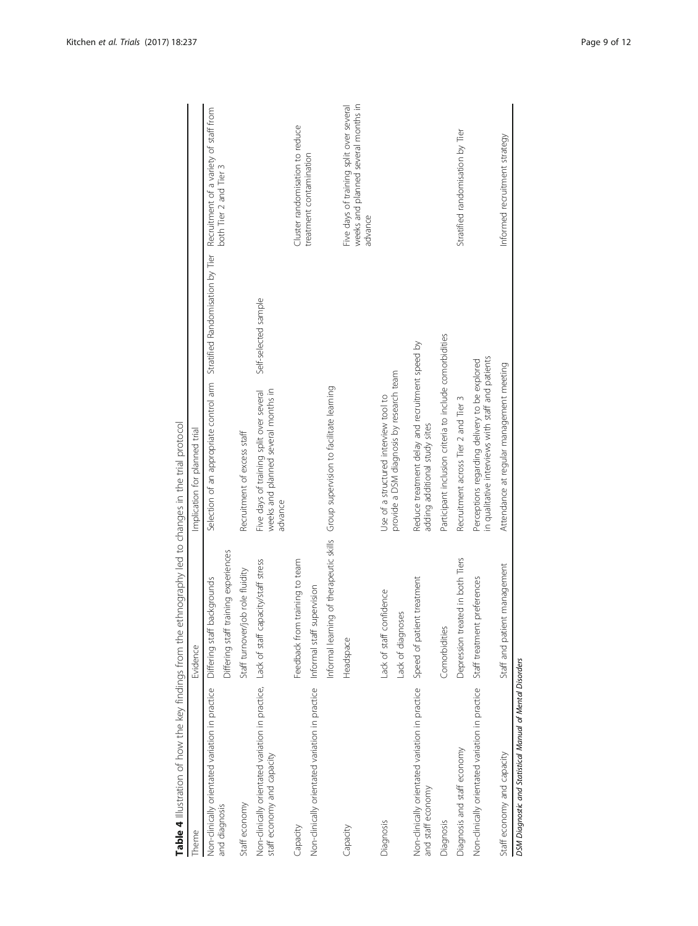<span id="page-8-0"></span>

| Theme                                                                                                              | Evidence                             | Implication for planned trial                                                                      |                                  |                                                                                            |
|--------------------------------------------------------------------------------------------------------------------|--------------------------------------|----------------------------------------------------------------------------------------------------|----------------------------------|--------------------------------------------------------------------------------------------|
| Non-clinically orientated variation in practice                                                                    | Differing staff backgrounds          | Selection of an appropriate control arm                                                            | Stratified Randomisation by Tier | Recruitment of a variety of staff from                                                     |
| and diagnosis                                                                                                      | Differing staff training experiences |                                                                                                    |                                  | both Tier 2 and Tier 3                                                                     |
| Staff economy                                                                                                      | Staff turnover/job role fluidity     | Recruitment of excess staff                                                                        |                                  |                                                                                            |
| Non-clinically orientated variation in practice, Lack of staff capacity/staff stress<br>staff economy and capacity |                                      | weeks and planned several months in<br>Five days of training split over several<br>advance         | Self-selected sample             |                                                                                            |
| Capacity                                                                                                           | Feedback from training to team       |                                                                                                    |                                  | Cluster randomisation to reduce                                                            |
| Non-clinically orientated variation in practice Informal staff supervision                                         |                                      |                                                                                                    |                                  | treatment contamination                                                                    |
|                                                                                                                    |                                      | Informal learning of therapeutic skills Group supervision to facilitate learning                   |                                  |                                                                                            |
| Capacity                                                                                                           | Headspace                            |                                                                                                    |                                  | weeks and planned several months in<br>Five days of training split over several<br>advance |
| Diagnosis                                                                                                          | Lack of staff confidence             | Use of a structured interview tool to                                                              |                                  |                                                                                            |
|                                                                                                                    | Lack of diagnoses                    | provide a DSM diagnosis by research team                                                           |                                  |                                                                                            |
| Non-clinically orientated variation in practice<br>and staff economy                                               | Speed of patient treatment           | Reduce treatment delay and recruitment speed by<br>adding additional study sites                   |                                  |                                                                                            |
| Diagnosis                                                                                                          | Comorbidities                        | Participant inclusion criteria to include comorbidities                                            |                                  |                                                                                            |
| Diagnosis and staff economy                                                                                        | Depression treated in both Tiers     | Recruitment across Tier 2 and Tier 3                                                               |                                  | Stratified randomisation by Tier                                                           |
| Non-clinically orientated variation in practice                                                                    | Staff treatment preferences          | in qualitative interviews with staff and patients<br>Perceptions regarding delivery to be explored |                                  |                                                                                            |
| Staff economy and capacity                                                                                         | Staff and patient management         | Attendance at regular management meeting                                                           |                                  | Informed recruitment strategy                                                              |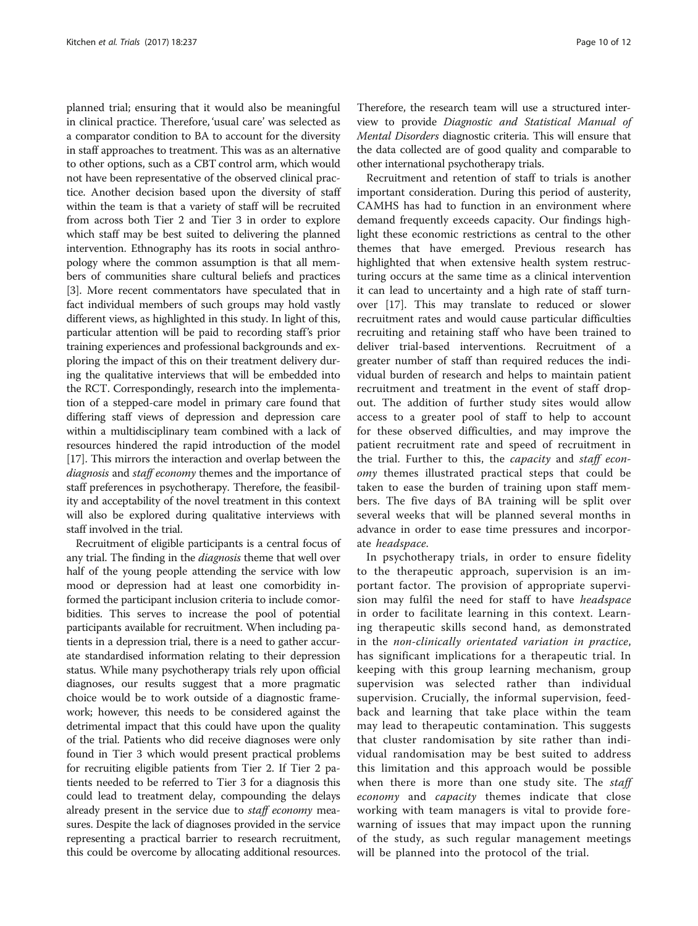planned trial; ensuring that it would also be meaningful in clinical practice. Therefore, 'usual care' was selected as a comparator condition to BA to account for the diversity in staff approaches to treatment. This was as an alternative to other options, such as a CBT control arm, which would not have been representative of the observed clinical practice. Another decision based upon the diversity of staff within the team is that a variety of staff will be recruited from across both Tier 2 and Tier 3 in order to explore which staff may be best suited to delivering the planned intervention. Ethnography has its roots in social anthropology where the common assumption is that all members of communities share cultural beliefs and practices [[3\]](#page-11-0). More recent commentators have speculated that in fact individual members of such groups may hold vastly different views, as highlighted in this study. In light of this, particular attention will be paid to recording staff's prior training experiences and professional backgrounds and exploring the impact of this on their treatment delivery during the qualitative interviews that will be embedded into the RCT. Correspondingly, research into the implementation of a stepped-care model in primary care found that differing staff views of depression and depression care within a multidisciplinary team combined with a lack of resources hindered the rapid introduction of the model [[17](#page-11-0)]. This mirrors the interaction and overlap between the diagnosis and staff economy themes and the importance of staff preferences in psychotherapy. Therefore, the feasibility and acceptability of the novel treatment in this context will also be explored during qualitative interviews with staff involved in the trial.

Recruitment of eligible participants is a central focus of any trial. The finding in the *diagnosis* theme that well over half of the young people attending the service with low mood or depression had at least one comorbidity informed the participant inclusion criteria to include comorbidities. This serves to increase the pool of potential participants available for recruitment. When including patients in a depression trial, there is a need to gather accurate standardised information relating to their depression status. While many psychotherapy trials rely upon official diagnoses, our results suggest that a more pragmatic choice would be to work outside of a diagnostic framework; however, this needs to be considered against the detrimental impact that this could have upon the quality of the trial. Patients who did receive diagnoses were only found in Tier 3 which would present practical problems for recruiting eligible patients from Tier 2. If Tier 2 patients needed to be referred to Tier 3 for a diagnosis this could lead to treatment delay, compounding the delays already present in the service due to staff economy measures. Despite the lack of diagnoses provided in the service representing a practical barrier to research recruitment, this could be overcome by allocating additional resources.

Therefore, the research team will use a structured interview to provide Diagnostic and Statistical Manual of Mental Disorders diagnostic criteria. This will ensure that the data collected are of good quality and comparable to other international psychotherapy trials.

Recruitment and retention of staff to trials is another important consideration. During this period of austerity, CAMHS has had to function in an environment where demand frequently exceeds capacity. Our findings highlight these economic restrictions as central to the other themes that have emerged. Previous research has highlighted that when extensive health system restructuring occurs at the same time as a clinical intervention it can lead to uncertainty and a high rate of staff turnover [\[17\]](#page-11-0). This may translate to reduced or slower recruitment rates and would cause particular difficulties recruiting and retaining staff who have been trained to deliver trial-based interventions. Recruitment of a greater number of staff than required reduces the individual burden of research and helps to maintain patient recruitment and treatment in the event of staff dropout. The addition of further study sites would allow access to a greater pool of staff to help to account for these observed difficulties, and may improve the patient recruitment rate and speed of recruitment in the trial. Further to this, the *capacity* and *staff econ*omy themes illustrated practical steps that could be taken to ease the burden of training upon staff members. The five days of BA training will be split over several weeks that will be planned several months in advance in order to ease time pressures and incorporate headspace.

In psychotherapy trials, in order to ensure fidelity to the therapeutic approach, supervision is an important factor. The provision of appropriate supervision may fulfil the need for staff to have headspace in order to facilitate learning in this context. Learning therapeutic skills second hand, as demonstrated in the non-clinically orientated variation in practice, has significant implications for a therapeutic trial. In keeping with this group learning mechanism, group supervision was selected rather than individual supervision. Crucially, the informal supervision, feedback and learning that take place within the team may lead to therapeutic contamination. This suggests that cluster randomisation by site rather than individual randomisation may be best suited to address this limitation and this approach would be possible when there is more than one study site. The *staff* economy and capacity themes indicate that close working with team managers is vital to provide forewarning of issues that may impact upon the running of the study, as such regular management meetings will be planned into the protocol of the trial.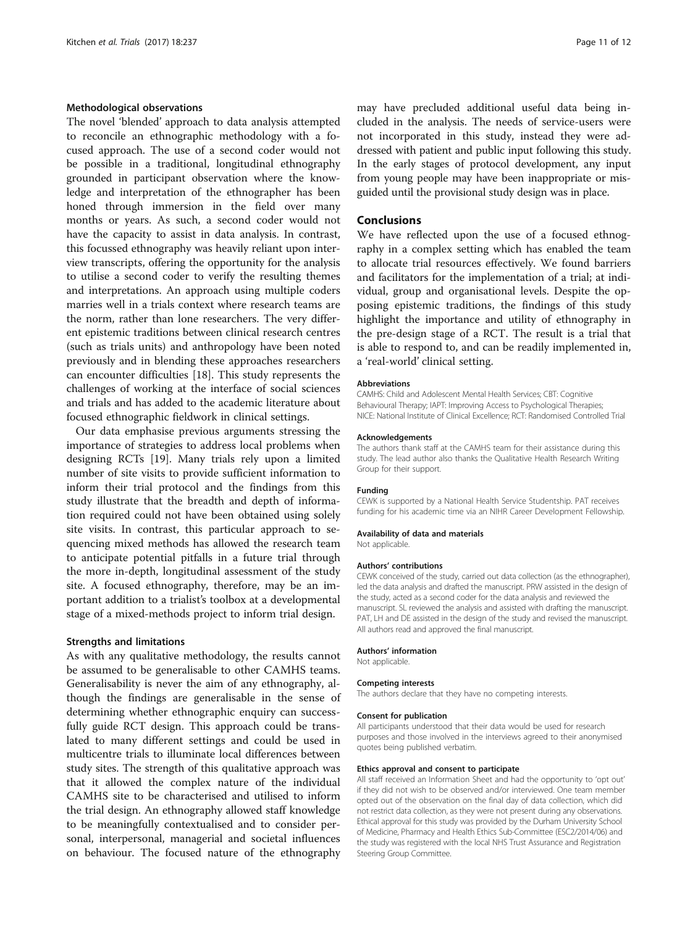# Methodological observations

The novel 'blended' approach to data analysis attempted to reconcile an ethnographic methodology with a focused approach. The use of a second coder would not be possible in a traditional, longitudinal ethnography grounded in participant observation where the knowledge and interpretation of the ethnographer has been honed through immersion in the field over many months or years. As such, a second coder would not have the capacity to assist in data analysis. In contrast, this focussed ethnography was heavily reliant upon interview transcripts, offering the opportunity for the analysis to utilise a second coder to verify the resulting themes and interpretations. An approach using multiple coders marries well in a trials context where research teams are the norm, rather than lone researchers. The very different epistemic traditions between clinical research centres (such as trials units) and anthropology have been noted previously and in blending these approaches researchers can encounter difficulties [\[18](#page-11-0)]. This study represents the challenges of working at the interface of social sciences and trials and has added to the academic literature about focused ethnographic fieldwork in clinical settings.

Our data emphasise previous arguments stressing the importance of strategies to address local problems when designing RCTs [\[19](#page-11-0)]. Many trials rely upon a limited number of site visits to provide sufficient information to inform their trial protocol and the findings from this study illustrate that the breadth and depth of information required could not have been obtained using solely site visits. In contrast, this particular approach to sequencing mixed methods has allowed the research team to anticipate potential pitfalls in a future trial through the more in-depth, longitudinal assessment of the study site. A focused ethnography, therefore, may be an important addition to a trialist's toolbox at a developmental stage of a mixed-methods project to inform trial design.

# Strengths and limitations

As with any qualitative methodology, the results cannot be assumed to be generalisable to other CAMHS teams. Generalisability is never the aim of any ethnography, although the findings are generalisable in the sense of determining whether ethnographic enquiry can successfully guide RCT design. This approach could be translated to many different settings and could be used in multicentre trials to illuminate local differences between study sites. The strength of this qualitative approach was that it allowed the complex nature of the individual CAMHS site to be characterised and utilised to inform the trial design. An ethnography allowed staff knowledge to be meaningfully contextualised and to consider personal, interpersonal, managerial and societal influences on behaviour. The focused nature of the ethnography

may have precluded additional useful data being included in the analysis. The needs of service-users were not incorporated in this study, instead they were addressed with patient and public input following this study. In the early stages of protocol development, any input from young people may have been inappropriate or misguided until the provisional study design was in place.

# Conclusions

We have reflected upon the use of a focused ethnography in a complex setting which has enabled the team to allocate trial resources effectively. We found barriers and facilitators for the implementation of a trial; at individual, group and organisational levels. Despite the opposing epistemic traditions, the findings of this study highlight the importance and utility of ethnography in the pre-design stage of a RCT. The result is a trial that is able to respond to, and can be readily implemented in, a 'real-world' clinical setting.

#### Abbreviations

CAMHS: Child and Adolescent Mental Health Services; CBT: Cognitive Behavioural Therapy; IAPT: Improving Access to Psychological Therapies; NICE: National Institute of Clinical Excellence; RCT: Randomised Controlled Trial

# Acknowledgements

The authors thank staff at the CAMHS team for their assistance during this study. The lead author also thanks the Qualitative Health Research Writing Group for their support.

# Funding

CEWK is supported by a National Health Service Studentship. PAT receives funding for his academic time via an NIHR Career Development Fellowship.

## Availability of data and materials

Not applicable.

# Authors' contributions

CEWK conceived of the study, carried out data collection (as the ethnographer), led the data analysis and drafted the manuscript. PRW assisted in the design of the study, acted as a second coder for the data analysis and reviewed the manuscript. SL reviewed the analysis and assisted with drafting the manuscript. PAT, LH and DE assisted in the design of the study and revised the manuscript. All authors read and approved the final manuscript.

# Authors' information

Not applicable.

# Competing interests

The authors declare that they have no competing interests.

# Consent for publication

All participants understood that their data would be used for research purposes and those involved in the interviews agreed to their anonymised quotes being published verbatim.

#### Ethics approval and consent to participate

All staff received an Information Sheet and had the opportunity to 'opt out' if they did not wish to be observed and/or interviewed. One team member opted out of the observation on the final day of data collection, which did not restrict data collection, as they were not present during any observations. Ethical approval for this study was provided by the Durham University School of Medicine, Pharmacy and Health Ethics Sub-Committee (ESC2/2014/06) and the study was registered with the local NHS Trust Assurance and Registration Steering Group Committee.